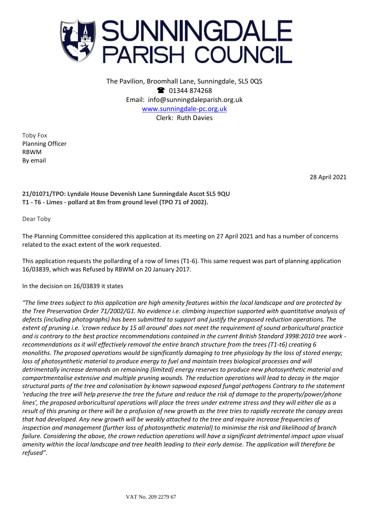

The Pavilion, Broomhall Lane, Sunningdale, SL5 0QS <sup>2</sup> 01344 874268 Email: info@sunningdaleparish.org.uk [www.sunningdale-pc.org.uk](http://www.sunningdale-pc.org.uk/) Clerk: Ruth Davies

Toby Fox Planning Officer RBWM By email

28 April 2021

**21/01071/TPO: Lyndale House Devenish Lane Sunningdale Ascot SL5 9QU T1 - T6 - Limes - pollard at 8m from ground level (TPO 71 of 2002).**

Dear Toby

The Planning Committee considered this application at its meeting on 27 April 2021 and has a number of concerns related to the exact extent of the work requested.

This application requests the pollarding of a row of limes (T1-6). This same request was part of planning application 16/03839, which was Refused by RBWM on 20 January 2017.

In the decision on 16/03839 it states

*"The lime trees subject to this application are high amenity features within the local landscape and are protected by the Tree Preservation Order 71/2002/G1. No evidence i.e. climbing inspection supported with quantitative analysis of defects (including photographs) has been submitted to support and justify the proposed reduction operations. The extent of pruning i.e. 'crown reduce by 15 all around' does not meet the requirement of sound arboricultural practice and is contrary to the best practice recommendations contained in the current British Standard 3998:2010 tree work recommendations as it will effectively removal the entire branch structure from the trees (T1-t6) creating 6 monoliths. The proposed operations would be significantly damaging to tree physiology by the loss of stored energy; loss of photosynthetic material to produce energy to fuel and maintain trees biological processes and will detrimentally increase demands on remaining (limited) energy reserves to produce new photosynthetic material and compartmentalise extensive and multiple pruning wounds. The reduction operations will lead to decay in the major structural parts of the tree and colonisation by known sapwood exposed fungal pathogens Contrary to the statement 'reducing the tree will help preserve the tree the future and reduce the risk of damage to the property/power/phone lines', the proposed arboricultural operations will place the trees under extreme stress and they will either die as a result of this pruning or there will be a profusion of new growth as the tree tries to rapidly recreate the canopy areas that had developed. Any new growth will be weakly attached to the tree and require increase frequencies of inspection and management (further loss of photosynthetic material) to minimise the risk and likelihood of branch failure. Considering the above, the crown reduction operations will have a significant detrimental impact upon visual amenity within the local landscape and tree health leading to their early demise. The application will therefore be refused".*